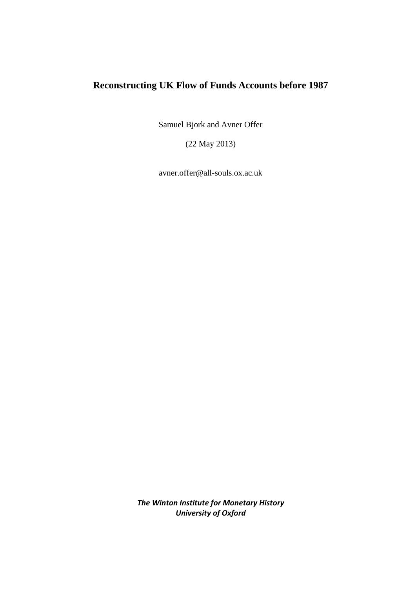## **Reconstructing UK Flow of Funds Accounts before 1987**

Samuel Bjork and Avner Offer

(22 May 2013)

avner.offer@all-souls.ox.ac.uk

*The Winton Institute for Monetary History University of Oxford*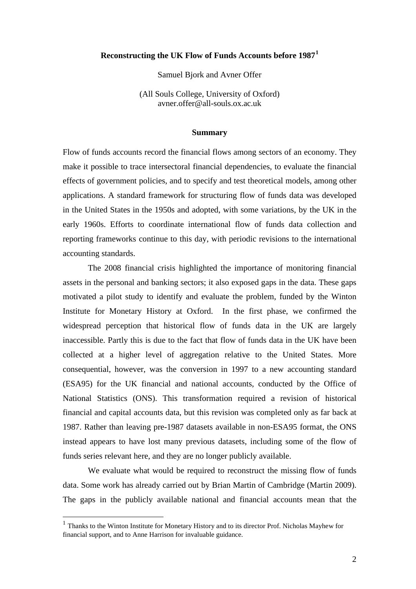### **Reconstructing the UK Flow of Funds Accounts before 1987[1](#page-1-0)**

Samuel Bjork and Avner Offer

(All Souls College, University of Oxford) avner.offer@all-souls.ox.ac.uk

#### **Summary**

Flow of funds accounts record the financial flows among sectors of an economy. They make it possible to trace intersectoral financial dependencies, to evaluate the financial effects of government policies, and to specify and test theoretical models, among other applications. A standard framework for structuring flow of funds data was developed in the United States in the 1950s and adopted, with some variations, by the UK in the early 1960s. Efforts to coordinate international flow of funds data collection and reporting frameworks continue to this day, with periodic revisions to the international accounting standards.

The 2008 financial crisis highlighted the importance of monitoring financial assets in the personal and banking sectors; it also exposed gaps in the data. These gaps motivated a pilot study to identify and evaluate the problem, funded by the Winton Institute for Monetary History at Oxford. In the first phase, we confirmed the widespread perception that historical flow of funds data in the UK are largely inaccessible. Partly this is due to the fact that flow of funds data in the UK have been collected at a higher level of aggregation relative to the United States. More consequential, however, was the conversion in 1997 to a new accounting standard (ESA95) for the UK financial and national accounts, conducted by the Office of National Statistics (ONS). This transformation required a revision of historical financial and capital accounts data, but this revision was completed only as far back at 1987. Rather than leaving pre-1987 datasets available in non-ESA95 format, the ONS instead appears to have lost many previous datasets, including some of the flow of funds series relevant here, and they are no longer publicly available.

We evaluate what would be required to reconstruct the missing flow of funds data. Some work has already carried out by Brian Martin of Cambridge (Martin 2009). The gaps in the publicly available national and financial accounts mean that the

<span id="page-1-0"></span> <sup>1</sup> Thanks to the Winton Institute for Monetary History and to its director Prof. Nicholas Mayhew for financial support, and to Anne Harrison for invaluable guidance.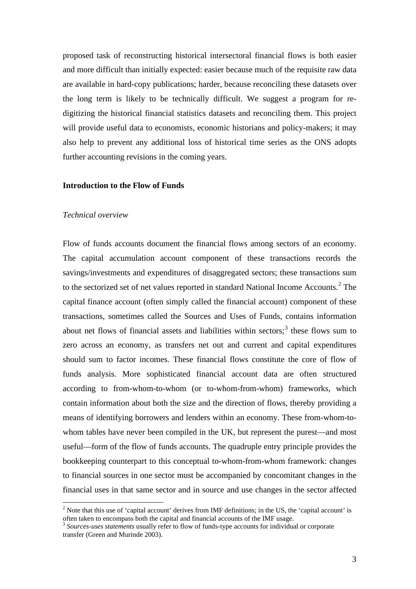proposed task of reconstructing historical intersectoral financial flows is both easier and more difficult than initially expected: easier because much of the requisite raw data are available in hard-copy publications; harder, because reconciling these datasets over the long term is likely to be technically difficult. We suggest a program for redigitizing the historical financial statistics datasets and reconciling them. This project will provide useful data to economists, economic historians and policy-makers; it may also help to prevent any additional loss of historical time series as the ONS adopts further accounting revisions in the coming years.

#### **Introduction to the Flow of Funds**

#### *Technical overview*

Flow of funds accounts document the financial flows among sectors of an economy. The capital accumulation account component of these transactions records the savings/investments and expenditures of disaggregated sectors; these transactions sum to the sectorized set of net values reported in standard National Income Accounts.<sup>[2](#page-2-0)</sup> The capital finance account (often simply called the financial account) component of these transactions, sometimes called the Sources and Uses of Funds, contains information about net flows of financial assets and liabilities within sectors; $<sup>3</sup>$  $<sup>3</sup>$  $<sup>3</sup>$  these flows sum to</sup> zero across an economy, as transfers net out and current and capital expenditures should sum to factor incomes. These financial flows constitute the core of flow of funds analysis. More sophisticated financial account data are often structured according to from-whom-to-whom (or to-whom-from-whom) frameworks, which contain information about both the size and the direction of flows, thereby providing a means of identifying borrowers and lenders within an economy. These from-whom-towhom tables have never been compiled in the UK, but represent the purest—and most useful—form of the flow of funds accounts. The quadruple entry principle provides the bookkeeping counterpart to this conceptual to-whom-from-whom framework: changes to financial sources in one sector must be accompanied by concomitant changes in the financial uses in that same sector and in source and use changes in the sector affected

<span id="page-2-0"></span><sup>&</sup>lt;sup>2</sup> Note that this use of 'capital account' derives from IMF definitions; in the US, the 'capital account' is often taken to encompass both the capital and financial accounts of the IMF usage.

<span id="page-2-1"></span><sup>3</sup> *Sources-uses statements* usually refer to flow of funds-type accounts for individual or corporate transfer (Green and Murinde 2003).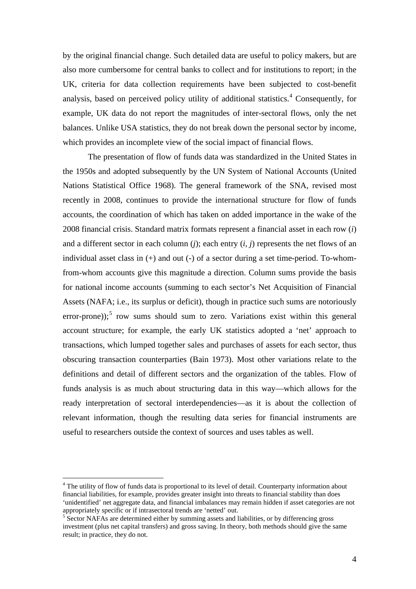by the original financial change. Such detailed data are useful to policy makers, but are also more cumbersome for central banks to collect and for institutions to report; in the UK, criteria for data collection requirements have been subjected to cost-benefit analysis, based on perceived policy utility of additional statistics.<sup>[4](#page-3-0)</sup> Consequently, for example, UK data do not report the magnitudes of inter-sectoral flows, only the net balances. Unlike USA statistics, they do not break down the personal sector by income, which provides an incomplete view of the social impact of financial flows.

The presentation of flow of funds data was standardized in the United States in the 1950s and adopted subsequently by the UN System of National Accounts (United Nations Statistical Office 1968). The general framework of the SNA, revised most recently in 2008, continues to provide the international structure for flow of funds accounts, the coordination of which has taken on added importance in the wake of the 2008 financial crisis. Standard matrix formats represent a financial asset in each row (*i*) and a different sector in each column (*j*); each entry (*i*, *j*) represents the net flows of an individual asset class in  $(+)$  and out  $(-)$  of a sector during a set time-period. To-whomfrom-whom accounts give this magnitude a direction. Column sums provide the basis for national income accounts (summing to each sector's Net Acquisition of Financial Assets (NAFA; i.e., its surplus or deficit), though in practice such sums are notoriously error-prone));<sup>[5](#page-3-1)</sup> row sums should sum to zero. Variations exist within this general account structure; for example, the early UK statistics adopted a 'net' approach to transactions, which lumped together sales and purchases of assets for each sector, thus obscuring transaction counterparties (Bain 1973). Most other variations relate to the definitions and detail of different sectors and the organization of the tables. Flow of funds analysis is as much about structuring data in this way—which allows for the ready interpretation of sectoral interdependencies—as it is about the collection of relevant information, though the resulting data series for financial instruments are useful to researchers outside the context of sources and uses tables as well.

<span id="page-3-0"></span><sup>&</sup>lt;sup>4</sup> The utility of flow of funds data is proportional to its level of detail. Counterparty information about financial liabilities, for example, provides greater insight into threats to financial stability than does 'unidentified' net aggregate data, and financial imbalances may remain hidden if asset categories are not appropriately specific or if intrasectoral trends are 'netted' out.<br>
<sup>5</sup> Sector NAFAs are determined either by summing assets and liabilities, or by differencing gross

<span id="page-3-1"></span>investment (plus net capital transfers) and gross saving. In theory, both methods should give the same result; in practice, they do not.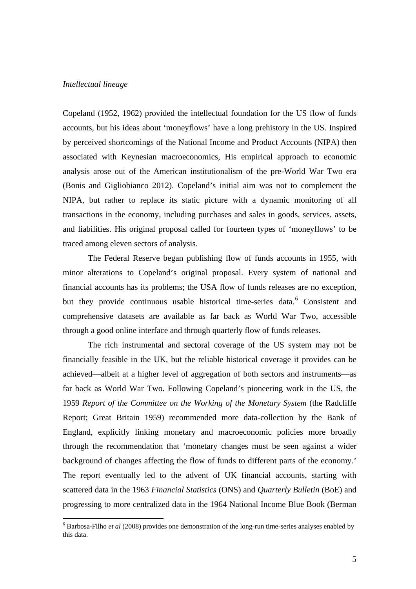#### *Intellectual lineage*

Copeland (1952, 1962) provided the intellectual foundation for the US flow of funds accounts, but his ideas about 'moneyflows' have a long prehistory in the US. Inspired by perceived shortcomings of the National Income and Product Accounts (NIPA) then associated with Keynesian macroeconomics, His empirical approach to economic analysis arose out of the American institutionalism of the pre-World War Two era (Bonis and Gigliobianco 2012). Copeland's initial aim was not to complement the NIPA, but rather to replace its static picture with a dynamic monitoring of all transactions in the economy, including purchases and sales in goods, services, assets, and liabilities. His original proposal called for fourteen types of 'moneyflows' to be traced among eleven sectors of analysis.

The Federal Reserve began publishing flow of funds accounts in 1955, with minor alterations to Copeland's original proposal. Every system of national and financial accounts has its problems; the USA flow of funds releases are no exception, but they provide continuous usable historical time-series data. [6](#page-4-0) Consistent and comprehensive datasets are available as far back as World War Two, accessible through a good online interface and through quarterly flow of funds releases.

The rich instrumental and sectoral coverage of the US system may not be financially feasible in the UK, but the reliable historical coverage it provides can be achieved—albeit at a higher level of aggregation of both sectors and instruments—as far back as World War Two. Following Copeland's pioneering work in the US, the 1959 *Report of the Committee on the Working of the Monetary System* (the Radcliffe Report; Great Britain 1959) recommended more data-collection by the Bank of England, explicitly linking monetary and macroeconomic policies more broadly through the recommendation that 'monetary changes must be seen against a wider background of changes affecting the flow of funds to different parts of the economy.' The report eventually led to the advent of UK financial accounts, starting with scattered data in the 1963 *Financial Statistics* (ONS) and *Quarterly Bulletin* (BoE) and progressing to more centralized data in the 1964 National Income Blue Book (Berman

<span id="page-4-0"></span> <sup>6</sup> Barbosa-Filho *et al* (2008) provides one demonstration of the long-run time-series analyses enabled by this data.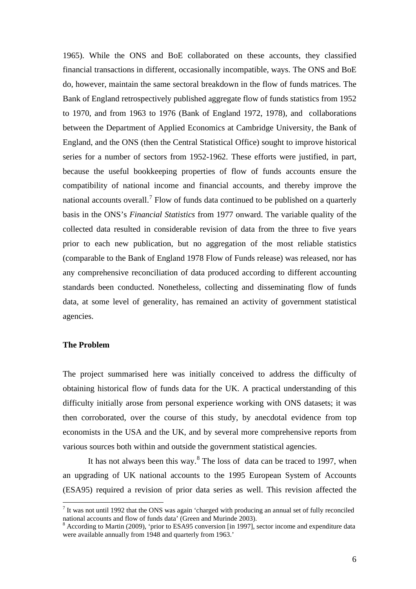1965). While the ONS and BoE collaborated on these accounts, they classified financial transactions in different, occasionally incompatible, ways. The ONS and BoE do, however, maintain the same sectoral breakdown in the flow of funds matrices. The Bank of England retrospectively published aggregate flow of funds statistics from 1952 to 1970, and from 1963 to 1976 (Bank of England 1972, 1978), and collaborations between the Department of Applied Economics at Cambridge University, the Bank of England, and the ONS (then the Central Statistical Office) sought to improve historical series for a number of sectors from 1952-1962. These efforts were justified, in part, because the useful bookkeeping properties of flow of funds accounts ensure the compatibility of national income and financial accounts, and thereby improve the national accounts overall.<sup>[7](#page-5-0)</sup> Flow of funds data continued to be published on a quarterly basis in the ONS's *Financial Statistics* from 1977 onward. The variable quality of the collected data resulted in considerable revision of data from the three to five years prior to each new publication, but no aggregation of the most reliable statistics (comparable to the Bank of England 1978 Flow of Funds release) was released, nor has any comprehensive reconciliation of data produced according to different accounting standards been conducted. Nonetheless, collecting and disseminating flow of funds data, at some level of generality, has remained an activity of government statistical agencies.

#### **The Problem**

The project summarised here was initially conceived to address the difficulty of obtaining historical flow of funds data for the UK. A practical understanding of this difficulty initially arose from personal experience working with ONS datasets; it was then corroborated, over the course of this study, by anecdotal evidence from top economists in the USA and the UK, and by several more comprehensive reports from various sources both within and outside the government statistical agencies.

It has not always been this way.[8](#page-5-1) The loss of data can be traced to 1997, when an upgrading of UK national accounts to the 1995 European System of Accounts (ESA95) required a revision of prior data series as well. This revision affected the

<span id="page-5-0"></span> $^7$  It was not until 1992 that the ONS was again 'charged with producing an annual set of fully reconciled national accounts and flow of funds data' (Green and Murinde 2003).

<span id="page-5-1"></span> $\delta$  According to Martin (2009), 'prior to ESA95 conversion [in 1997], sector income and expenditure data were available annually from 1948 and quarterly from 1963.'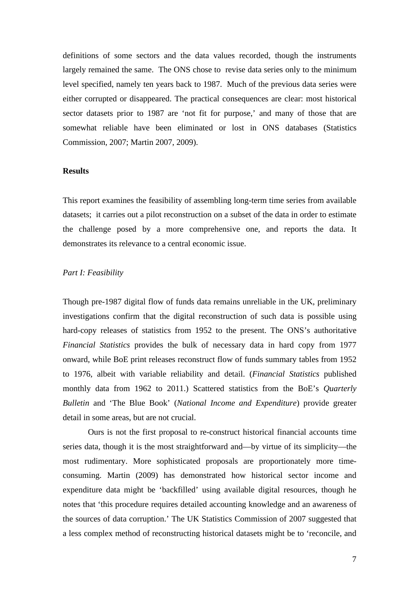definitions of some sectors and the data values recorded, though the instruments largely remained the same. The ONS chose to revise data series only to the minimum level specified, namely ten years back to 1987. Much of the previous data series were either corrupted or disappeared. The practical consequences are clear: most historical sector datasets prior to 1987 are 'not fit for purpose,' and many of those that are somewhat reliable have been eliminated or lost in ONS databases (Statistics Commission, 2007; Martin 2007, 2009).

#### **Results**

This report examines the feasibility of assembling long-term time series from available datasets; it carries out a pilot reconstruction on a subset of the data in order to estimate the challenge posed by a more comprehensive one, and reports the data. It demonstrates its relevance to a central economic issue.

#### *Part I: Feasibility*

Though pre-1987 digital flow of funds data remains unreliable in the UK, preliminary investigations confirm that the digital reconstruction of such data is possible using hard-copy releases of statistics from 1952 to the present. The ONS's authoritative *Financial Statistics* provides the bulk of necessary data in hard copy from 1977 onward, while BoE print releases reconstruct flow of funds summary tables from 1952 to 1976, albeit with variable reliability and detail. (*Financial Statistics* published monthly data from 1962 to 2011.) Scattered statistics from the BoE's *Quarterly Bulletin* and 'The Blue Book' (*National Income and Expenditure*) provide greater detail in some areas, but are not crucial.

Ours is not the first proposal to re-construct historical financial accounts time series data, though it is the most straightforward and—by virtue of its simplicity—the most rudimentary. More sophisticated proposals are proportionately more timeconsuming. Martin (2009) has demonstrated how historical sector income and expenditure data might be 'backfilled' using available digital resources, though he notes that 'this procedure requires detailed accounting knowledge and an awareness of the sources of data corruption.' The UK Statistics Commission of 2007 suggested that a less complex method of reconstructing historical datasets might be to 'reconcile, and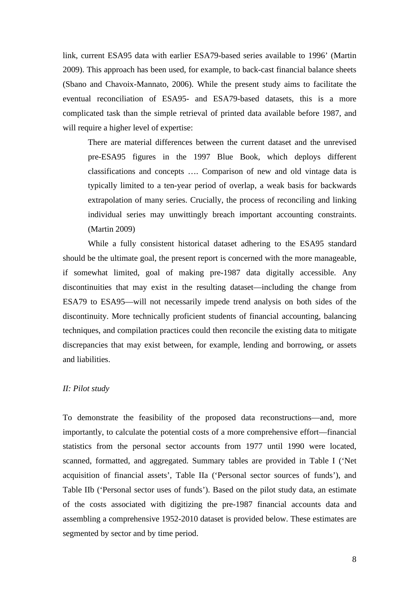link, current ESA95 data with earlier ESA79-based series available to 1996' (Martin 2009). This approach has been used, for example, to back-cast financial balance sheets (Sbano and Chavoix-Mannato, 2006). While the present study aims to facilitate the eventual reconciliation of ESA95- and ESA79-based datasets, this is a more complicated task than the simple retrieval of printed data available before 1987, and will require a higher level of expertise:

There are material differences between the current dataset and the unrevised pre-ESA95 figures in the 1997 Blue Book, which deploys different classifications and concepts …. Comparison of new and old vintage data is typically limited to a ten-year period of overlap, a weak basis for backwards extrapolation of many series. Crucially, the process of reconciling and linking individual series may unwittingly breach important accounting constraints. (Martin 2009)

While a fully consistent historical dataset adhering to the ESA95 standard should be the ultimate goal, the present report is concerned with the more manageable, if somewhat limited, goal of making pre-1987 data digitally accessible. Any discontinuities that may exist in the resulting dataset—including the change from ESA79 to ESA95—will not necessarily impede trend analysis on both sides of the discontinuity. More technically proficient students of financial accounting, balancing techniques, and compilation practices could then reconcile the existing data to mitigate discrepancies that may exist between, for example, lending and borrowing, or assets and liabilities.

#### *II: Pilot study*

To demonstrate the feasibility of the proposed data reconstructions—and, more importantly, to calculate the potential costs of a more comprehensive effort—financial statistics from the personal sector accounts from 1977 until 1990 were located, scanned, formatted, and aggregated. Summary tables are provided in Table I ('Net acquisition of financial assets', Table IIa ('Personal sector sources of funds'), and Table IIb ('Personal sector uses of funds'). Based on the pilot study data, an estimate of the costs associated with digitizing the pre-1987 financial accounts data and assembling a comprehensive 1952-2010 dataset is provided below. These estimates are segmented by sector and by time period.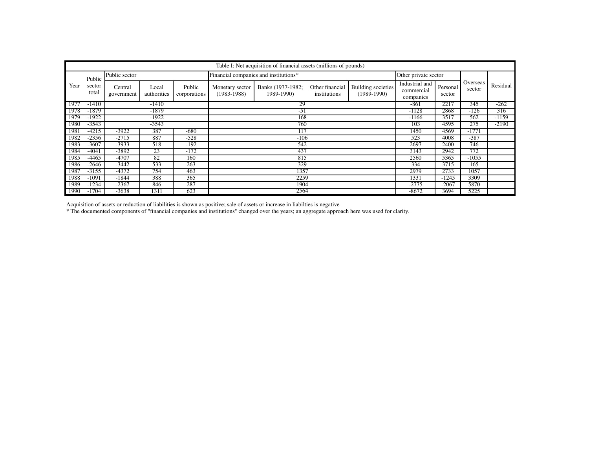|      | Table I: Net acquisition of financial assets (millions of pounds) |                       |                      |                        |                                       |                                 |                                 |                                     |                                           |                    |                    |          |
|------|-------------------------------------------------------------------|-----------------------|----------------------|------------------------|---------------------------------------|---------------------------------|---------------------------------|-------------------------------------|-------------------------------------------|--------------------|--------------------|----------|
|      | Public                                                            | Public sector         |                      |                        | Financial companies and institutions* | Other private sector            |                                 |                                     |                                           |                    |                    |          |
| Year | sector<br>total                                                   | Central<br>government | Local<br>authorities | Public<br>corporations | Monetary sector<br>$(1983 - 1988)$    | Banks (1977-1982;<br>1989-1990) | Other financial<br>institutions | Building societies<br>$(1989-1990)$ | Industrial and<br>commercial<br>companies | Personal<br>sector | Overseas<br>sector | Residual |
| 1977 | $-1410$                                                           |                       | $-1410$              |                        |                                       | 29                              |                                 |                                     |                                           |                    | 345                | $-262$   |
| 1978 | $-1879$                                                           |                       | $-1879$<br>$-51$     |                        |                                       |                                 |                                 |                                     | $-1128$                                   | 2868               | $-126$             | 316      |
| 1979 | $-1922$                                                           | $-1922$<br>168        |                      |                        |                                       |                                 |                                 | $-1166$                             | 3517                                      | 562                | $-1159$            |          |
| 1980 | $-3543$                                                           |                       | $-3543$<br>760       |                        |                                       |                                 |                                 |                                     | 103                                       | 4595               | 275                | $-2190$  |
| 1981 | $-4215$                                                           | $-3922$               | 387                  | $-680$                 |                                       | $\overline{117}$                |                                 |                                     | 1450                                      | 4569               | $-1771$            |          |
| 1982 | $-2356$                                                           | $-2715$               | 887                  | $-528$                 |                                       | $-106$                          |                                 |                                     | 523                                       | 4008               | $-387$             |          |
| 1983 | -3607                                                             | -3933                 | 518                  | $-192$                 |                                       | 2697                            | 2400                            | 746                                 |                                           |                    |                    |          |
| 1984 | -4041                                                             | -3892                 | 23                   | $-172$                 |                                       | 437                             |                                 |                                     | 3143                                      | 2942               | 772                |          |
| 1985 | -4465                                                             | $-4707$               | 82                   | 160                    |                                       | 2560                            | 5365                            | $-1055$                             |                                           |                    |                    |          |
| 1986 | $-2646$                                                           | $-3442$               | 533                  | 263                    |                                       | 334                             | 3715                            | 165                                 |                                           |                    |                    |          |
| 1987 | $-3155$                                                           | $-4372$               | 754                  | 463                    |                                       | 2979                            | 2733                            | 1057                                |                                           |                    |                    |          |
| 1988 | $-109$                                                            | $-1844$               | 388                  | 365                    | 2259                                  |                                 |                                 |                                     | 1331                                      | $-1245$            | 3309               |          |
| 1989 | $-1234$                                                           | $-2367$               | 846                  | 287                    |                                       | $-2775$                         | $-2067$                         | 5870                                |                                           |                    |                    |          |
| 1990 | $-1704$                                                           | $-3638$               | 1311                 | 623                    |                                       | 2564                            |                                 |                                     | $-8672$                                   | 3694               | 5225               |          |

Acquisition of assets or reduction of liabilities is shown as positive; sale of assets or increase in liabilties is negative

\* The documented components of "financial companies and institutions" changed over the years; an aggregate approach here was used for clarity.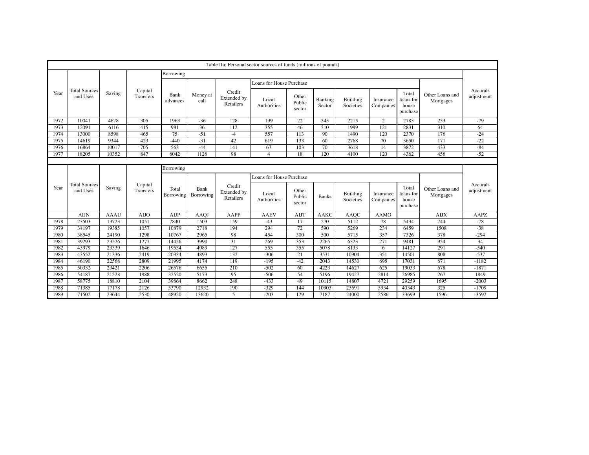| Table IIa: Personal sector sources of funds (millions of pounds) |                                  |             |                             |                    |                   |                                    |                          |                           |                   |                              |                        |                                         |                              |                        |
|------------------------------------------------------------------|----------------------------------|-------------|-----------------------------|--------------------|-------------------|------------------------------------|--------------------------|---------------------------|-------------------|------------------------------|------------------------|-----------------------------------------|------------------------------|------------------------|
|                                                                  |                                  |             |                             | Borrowing          |                   |                                    |                          |                           |                   |                              |                        |                                         |                              |                        |
|                                                                  | <b>Total Sources</b><br>and Uses |             |                             |                    | Money at<br>call  | Credit<br>Extended by<br>Retailers | Loans for House Purchase |                           |                   |                              |                        |                                         |                              |                        |
| Year                                                             |                                  | Saving      | Capital<br><b>Transfers</b> | Bank<br>advances   |                   |                                    | Local<br>Authorities     | Other<br>Public<br>sector | Banking<br>Sector | <b>Building</b><br>Societies | Insurance<br>Companies | Total<br>loans for<br>house<br>purchase | Other Loans and<br>Mortgages | Accurals<br>adjustment |
| 1972                                                             | 10041                            | 4678        | 305                         | 1963               | $-36$             | 128                                | 199                      | 22                        | 345               | 2215                         | 2                      | 2783                                    | 253                          | $-79$                  |
| 1973                                                             | 12091                            | 6116        | 415                         | 991                | 36                | 112                                | 355                      | 46                        | 310               | 1999                         | 121                    | 2831                                    | 310                          | 64                     |
| 1974                                                             | 13000                            | 8598        | 465                         | 75                 | $-51$             | $-4$                               | 557                      | 113                       | 90                | 1490                         | 120                    | 2370                                    | 176                          | $-24$                  |
| 1975                                                             | 14619                            | 9344        | 423                         | $-440$             | $-31$             | 42                                 | 619                      | 133                       | 60                | 2768                         | 70                     | 3650                                    | 171                          | $-22$                  |
| 1976                                                             | 16864                            | 10017       | 705                         | 563                | $-44$             | 141                                | 67                       | 103                       | 70                | 3618                         | 14                     | 3872                                    | 433                          | $-84$                  |
| 1977                                                             | 18205                            | 10352       | 847                         | 6042               | 1126              | 98                                 | $\overline{4}$           | 18                        | 120               | 4100                         | 120                    | 4362                                    | 456                          | $-52$                  |
|                                                                  |                                  |             |                             |                    |                   |                                    |                          |                           |                   |                              |                        |                                         |                              |                        |
|                                                                  | Borrowing                        |             |                             |                    |                   |                                    |                          |                           |                   |                              |                        |                                         |                              |                        |
|                                                                  |                                  |             |                             |                    |                   |                                    | Loans for House Purchase |                           |                   |                              |                        |                                         |                              |                        |
| Year                                                             | <b>Total Sources</b><br>and Uses | Saving      | Capital<br>Transfers        | Total<br>Borrowing | Bank<br>Borrowing | Credit<br>Extended by<br>Retailers | Local<br>Authorities     | Other<br>Public<br>sector | <b>Banks</b>      | Building<br>Societies        | Insurance<br>Companies | Total<br>loans for<br>house<br>purchase | Other Loans and<br>Mortgages | Accurals<br>adjustment |
|                                                                  | <b>AIJN</b>                      | <b>AAAU</b> | <b>AIJO</b>                 | AIJP               | AAOJ              | AAPP                               | AAEV                     | AIJT                      | <b>AAKC</b>       | AAOC                         | AAMO                   |                                         | AIJX                         | AAPZ                   |
| 1978                                                             | 23503                            | 13723       | 1051                        | 7840               | 1503              | 159                                | $-43$                    | 17                        | 270               | 5112                         | 78                     | 5434                                    | 744                          | $-78$                  |
| 1979                                                             | 34197                            | 19385       | 1057                        | 10879              | 2718              | 194                                | 294                      | 72                        | 590               | 5269                         | 234                    | 6459                                    | 1508                         | $-38$                  |
| 1980                                                             | 38545                            | 24190       | 1298                        | 10767              | 2965              | 98                                 | 454                      | 300                       | 500               | 5715                         | 357                    | 7326                                    | 378                          | $-294$                 |
| 1981                                                             | 39293                            | 23526       | 1277                        | 14456              | 3990              | 31                                 | 269                      | 353                       | 2265              | 6323                         | 271                    | 9481                                    | 954                          | 34                     |
| 1982                                                             | 43979                            | 23339       | 1646                        | 19534              | 4989              | 127                                | 555                      | 355                       | 5078              | 8133                         | 6                      | 14127                                   | 291                          | $-540$                 |
| 1983                                                             | 43552                            | 21336       | 2419                        | 20334              | 4893              | 132                                | $-306$                   | 21                        | 3531              | 10904                        | 351                    | 14501                                   | 808                          | $-537$                 |
| 1984                                                             | 46190                            | 22568       | 2809                        | 21995              | 4174              | 119                                | $-195$                   | $-42$                     | 2043              | 14530                        | 695                    | 17031                                   | 671                          | $-1182$                |
| 1985                                                             | 50332                            | 23421       | 2206                        | 26576              | 6655              | 210                                | $-502$                   | 60                        | 4223              | 14627                        | 625                    | 19033                                   | 678                          | $-1871$                |
| 1986                                                             | 54187                            | 21528       | 1988                        | 32520              | 5173              | 95                                 | $-506$                   | 54                        | 5196              | 19427                        | 2814                   | 26985                                   | 267                          | 1849                   |
| 1987                                                             | 58775                            | 18810       | 2104                        | 39864              | 8662              | 248                                | $-433$                   | 49                        | 10115             | 14807                        | 4721                   | 29259                                   | 1695                         | $-2003$                |
| 1988                                                             | 71385                            | 17178       | 2126                        | 53790              | 12932             | 190                                | $-329$                   | 144                       | 10903             | 23691                        | 5934                   | 40343                                   | 325                          | $-1709$                |
| 1989                                                             | 71502                            | 23644       | 2530                        | 48920              | 13620             | 5                                  | $-203$                   | 129                       | 7187              | 24000                        | 2586                   | 33699                                   | 1596                         | $-3592$                |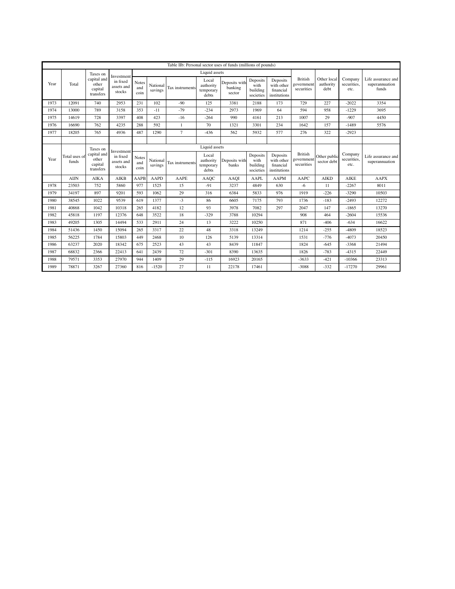|      |                        |                                              |                                                |                                              |                     | Table IIb: Personal sector uses of funds (millions of pounds) |                                          |                                    |                                           |                                                     |                                            |                                  |                                |                                               |                                          |                        |                                           |                                                     |                                            |                             |                                |                                      |
|------|------------------------|----------------------------------------------|------------------------------------------------|----------------------------------------------|---------------------|---------------------------------------------------------------|------------------------------------------|------------------------------------|-------------------------------------------|-----------------------------------------------------|--------------------------------------------|----------------------------------|--------------------------------|-----------------------------------------------|------------------------------------------|------------------------|-------------------------------------------|-----------------------------------------------------|--------------------------------------------|-----------------------------|--------------------------------|--------------------------------------|
|      |                        | Taxes on                                     |                                                |                                              |                     |                                                               | Liquid assets                            |                                    |                                           |                                                     |                                            |                                  |                                |                                               |                                          |                        |                                           |                                                     |                                            |                             |                                |                                      |
| Year | Total                  | capital and<br>other<br>capital<br>transfers | Investment<br>in fixed<br>assets and<br>stocks | <b>Notes</b><br>and<br>coin                  | National<br>savings | Tax instruments                                               | Local<br>authority<br>temporary<br>debts | Deposits with<br>banking<br>sector | Deposits<br>with<br>building<br>societies | Deposits<br>with other<br>financial<br>institutions | <b>British</b><br>government<br>securities | Other local<br>authority<br>debt | Company<br>securities,<br>etc. | Life assurance and<br>superannuation<br>funds |                                          |                        |                                           |                                                     |                                            |                             |                                |                                      |
| 1973 | 12091                  | 740                                          | 2953                                           | 231                                          | 102                 | $-90$                                                         | 125                                      | 3381                               | 2188                                      | 173                                                 | 729                                        | 227                              | $-2022$                        | 3354                                          |                                          |                        |                                           |                                                     |                                            |                             |                                |                                      |
| 1974 | 13000                  | 789                                          | 3158                                           | 353                                          | $-11$               | $-79$                                                         | $-234$                                   | 2973                               | 1969                                      | 64                                                  | 594                                        | 958                              | $-1229$                        | 3695                                          |                                          |                        |                                           |                                                     |                                            |                             |                                |                                      |
| 1975 | 14619                  | 728                                          | 3397                                           | 408                                          | 423                 | $-16$                                                         | $-264$                                   | 990                                | 4161                                      | 213                                                 | 1007                                       | 29                               | $-907$                         | 4450                                          |                                          |                        |                                           |                                                     |                                            |                             |                                |                                      |
| 1976 | 16690                  | 762                                          | 4235                                           | 288                                          | 592                 | 1                                                             | 70                                       | 1321                               | 3301                                      | 234                                                 | 1642                                       | 157                              | $-1489$                        | 5576                                          |                                          |                        |                                           |                                                     |                                            |                             |                                |                                      |
| 1977 | 18205                  | 765                                          | 4936                                           | 487                                          | 1290                | $\tau$                                                        | $-436$                                   | 562                                | 5932                                      | 577                                                 | 276                                        | 322                              | $-2923$                        |                                               |                                          |                        |                                           |                                                     |                                            |                             |                                |                                      |
|      |                        |                                              |                                                |                                              |                     |                                                               |                                          |                                    |                                           |                                                     |                                            |                                  |                                |                                               |                                          |                        |                                           |                                                     |                                            |                             |                                |                                      |
|      |                        | Taxes on                                     | Investment                                     |                                              |                     |                                                               | Liquid assets                            |                                    |                                           |                                                     |                                            |                                  |                                |                                               |                                          |                        |                                           |                                                     |                                            |                             |                                |                                      |
| Year | Total uses of<br>funds |                                              |                                                | capital and<br>other<br>capital<br>transfers |                     |                                                               |                                          |                                    |                                           |                                                     | in fixed<br>assets and<br>stocks           | Notes<br>and<br>coin             | National<br>savings            | Tax instruments                               | Local<br>authority<br>temporary<br>debts | Deposits with<br>banks | Deposits<br>with<br>building<br>societies | Deposits<br>with other<br>financial<br>institutions | <b>British</b><br>government<br>securities | Other public<br>sector debt | Company<br>securities.<br>etc. | Life assurance and<br>superannuation |
|      | <b>AIJN</b>            | <b>AIKA</b>                                  | <b>AIKB</b>                                    | AAPB                                         | <b>AAPD</b>         | AAPE                                                          | <b>AAOC</b>                              | AAOI                               | <b>AAPL</b>                               | <b>AAPM</b>                                         | AAPC                                       | <b>AIKD</b>                      | <b>AIKE</b>                    | <b>AAPX</b>                                   |                                          |                        |                                           |                                                     |                                            |                             |                                |                                      |
| 1978 | 23503                  | 752                                          | 5860                                           | 977                                          | 1525                | 15                                                            | $-91$                                    | 3237                               | 4849                                      | 630                                                 | $-6$                                       | 11                               | $-2267$                        | 8011                                          |                                          |                        |                                           |                                                     |                                            |                             |                                |                                      |
| 1979 | 34197                  | 897                                          | 9201                                           | 593                                          | 1062                | 29                                                            | 316                                      | 6384                               | 5833                                      | 976                                                 | 1919                                       | $-226$                           | $-3290$                        | 10503                                         |                                          |                        |                                           |                                                     |                                            |                             |                                |                                      |
| 1980 | 38545                  | 1022                                         | 9539                                           | 619                                          | 1377                | $-3$                                                          | 86                                       | 6605                               | 7175                                      | 793                                                 | 1736                                       | $-183$                           | $-2493$                        | 12272                                         |                                          |                        |                                           |                                                     |                                            |                             |                                |                                      |
| 1981 | 40868                  | 1042                                         | 10318                                          | 265                                          | 4182                | 12                                                            | 93                                       | 3978                               | 7082                                      | 297                                                 | 2047                                       | 147                              | $-1865$                        | 13270                                         |                                          |                        |                                           |                                                     |                                            |                             |                                |                                      |
| 1982 | 45818                  | 1197                                         | 12376                                          | 648                                          | 3522                | 18                                                            | $-329$                                   | 3788                               | 10294                                     |                                                     | 908                                        | 464                              | $-2604$                        | 15536                                         |                                          |                        |                                           |                                                     |                                            |                             |                                |                                      |
| 1983 | 49205                  | 1305                                         | 14494                                          | 533                                          | 2911                | 24                                                            | 13                                       | 3222                               | 10250                                     |                                                     | 871                                        | $-406$                           | $-634$                         | 16622                                         |                                          |                        |                                           |                                                     |                                            |                             |                                |                                      |
| 1984 | 51436                  | 1450                                         | 15094                                          | 265                                          | 3317                | 22                                                            | 48                                       | 3318                               | 13249                                     |                                                     | 1214                                       | $-255$                           | $-4809$                        | 18523                                         |                                          |                        |                                           |                                                     |                                            |                             |                                |                                      |
| 1985 | 56225                  | 1784                                         | 15803                                          | 449                                          | 2468                | 10                                                            | 126                                      | 5139                               | 13314                                     |                                                     | 1531                                       | $-776$                           | $-4073$                        | 20450                                         |                                          |                        |                                           |                                                     |                                            |                             |                                |                                      |
| 1986 | 63237                  | 2020                                         | 18342                                          | 675                                          | 2523                | 43                                                            | 43                                       | 8439                               | 11847                                     |                                                     | 1824                                       | $-645$                           | $-3368$                        | 21494                                         |                                          |                        |                                           |                                                     |                                            |                             |                                |                                      |
| 1987 | 68832                  | 2366                                         | 22413                                          | 641                                          | 2439                | 72                                                            | $-301$                                   | 8390                               | 13635                                     |                                                     | 1826                                       | $-783$                           | $-4315$                        | 22449                                         |                                          |                        |                                           |                                                     |                                            |                             |                                |                                      |
| 1988 | 79571                  | 3353                                         | 27970                                          | 944                                          | 1409                | 29                                                            | $-115$                                   | 16923                              | 20165                                     |                                                     | $-3633$                                    | $-421$                           | $-10366$                       | 23313                                         |                                          |                        |                                           |                                                     |                                            |                             |                                |                                      |
| 1989 | 78871                  | 3267                                         | 27360                                          | 816                                          | $-1520$             | 27                                                            | 11                                       | 22178                              | 17461                                     |                                                     | $-3088$                                    | $-332$                           | $-17270$                       | 29961                                         |                                          |                        |                                           |                                                     |                                            |                             |                                |                                      |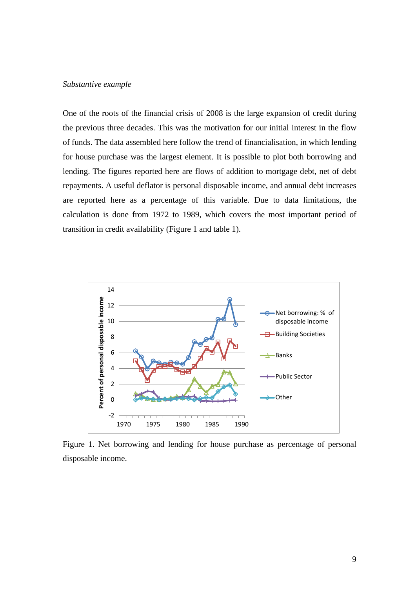#### *Substantive example*

One of the roots of the financial crisis of 2008 is the large expansion of credit during the previous three decades. This was the motivation for our initial interest in the flow of funds. The data assembled here follow the trend of financialisation, in which lending for house purchase was the largest element. It is possible to plot both borrowing and lending. The figures reported here are flows of addition to mortgage debt, net of debt repayments. A useful deflator is personal disposable income, and annual debt increases are reported here as a percentage of this variable. Due to data limitations, the calculation is done from 1972 to 1989, which covers the most important period of transition in credit availability (Figure 1 and table 1).



Figure 1. Net borrowing and lending for house purchase as percentage of personal disposable income.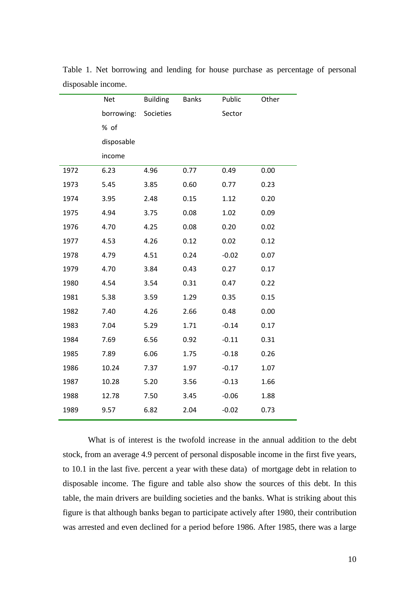|      | <b>Net</b> | <b>Building</b> | <b>Banks</b> | Public  | Other |
|------|------------|-----------------|--------------|---------|-------|
|      | borrowing: | Societies       |              | Sector  |       |
|      | % of       |                 |              |         |       |
|      | disposable |                 |              |         |       |
|      | income     |                 |              |         |       |
| 1972 | 6.23       | 4.96            | 0.77         | 0.49    | 0.00  |
| 1973 | 5.45       | 3.85            | 0.60         | 0.77    | 0.23  |
| 1974 | 3.95       | 2.48            | 0.15         | 1.12    | 0.20  |
| 1975 | 4.94       | 3.75            | 0.08         | 1.02    | 0.09  |
| 1976 | 4.70       | 4.25            | 0.08         | 0.20    | 0.02  |
| 1977 | 4.53       | 4.26            | 0.12         | 0.02    | 0.12  |
| 1978 | 4.79       | 4.51            | 0.24         | $-0.02$ | 0.07  |
| 1979 | 4.70       | 3.84            | 0.43         | 0.27    | 0.17  |
| 1980 | 4.54       | 3.54            | 0.31         | 0.47    | 0.22  |
| 1981 | 5.38       | 3.59            | 1.29         | 0.35    | 0.15  |
| 1982 | 7.40       | 4.26            | 2.66         | 0.48    | 0.00  |
| 1983 | 7.04       | 5.29            | 1.71         | $-0.14$ | 0.17  |
| 1984 | 7.69       | 6.56            | 0.92         | $-0.11$ | 0.31  |
| 1985 | 7.89       | 6.06            | 1.75         | $-0.18$ | 0.26  |
| 1986 | 10.24      | 7.37            | 1.97         | $-0.17$ | 1.07  |
| 1987 | 10.28      | 5.20            | 3.56         | $-0.13$ | 1.66  |
| 1988 | 12.78      | 7.50            | 3.45         | $-0.06$ | 1.88  |
| 1989 | 9.57       | 6.82            | 2.04         | $-0.02$ | 0.73  |

Table 1. Net borrowing and lending for house purchase as percentage of personal disposable income.

What is of interest is the twofold increase in the annual addition to the debt stock, from an average 4.9 percent of personal disposable income in the first five years, to 10.1 in the last five. percent a year with these data) of mortgage debt in relation to disposable income. The figure and table also show the sources of this debt. In this table, the main drivers are building societies and the banks. What is striking about this figure is that although banks began to participate actively after 1980, their contribution was arrested and even declined for a period before 1986. After 1985, there was a large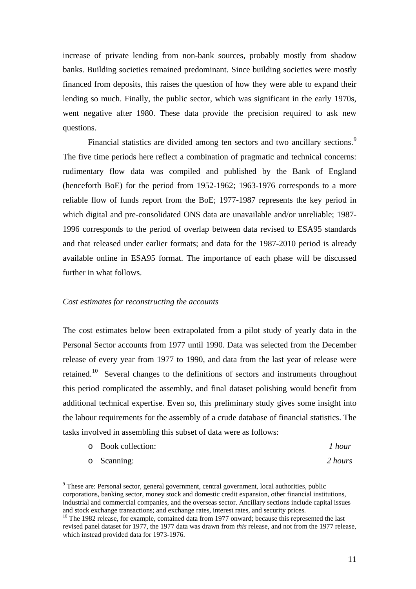increase of private lending from non-bank sources, probably mostly from shadow banks. Building societies remained predominant. Since building societies were mostly financed from deposits, this raises the question of how they were able to expand their lending so much. Finally, the public sector, which was significant in the early 1970s, went negative after 1980. These data provide the precision required to ask new questions.

Financial statistics are divided among ten sectors and two ancillary sections.<sup>[9](#page-13-0)</sup> The five time periods here reflect a combination of pragmatic and technical concerns: rudimentary flow data was compiled and published by the Bank of England (henceforth BoE) for the period from 1952-1962; 1963-1976 corresponds to a more reliable flow of funds report from the BoE; 1977-1987 represents the key period in which digital and pre-consolidated ONS data are unavailable and/or unreliable; 1987- 1996 corresponds to the period of overlap between data revised to ESA95 standards and that released under earlier formats; and data for the 1987-2010 period is already available online in ESA95 format. The importance of each phase will be discussed further in what follows.

### *Cost estimates for reconstructing the accounts*

The cost estimates below been extrapolated from a pilot study of yearly data in the Personal Sector accounts from 1977 until 1990. Data was selected from the December release of every year from 1977 to 1990, and data from the last year of release were retained.<sup>[10](#page-13-1)</sup> Several changes to the definitions of sectors and instruments throughout this period complicated the assembly, and final dataset polishing would benefit from additional technical expertise. Even so, this preliminary study gives some insight into the labour requirements for the assembly of a crude database of financial statistics. The tasks involved in assembling this subset of data were as follows:

o Book collection: *1 hour* o Scanning: *2 hours*

<span id="page-13-0"></span> <sup>9</sup> These are: Personal sector, general government, central government, local authorities, public corporations, banking sector, money stock and domestic credit expansion, other financial institutions, industrial and commercial companies, and the overseas sector. Ancillary sections include capital issues and stock exchange transactions; and exchange rates, interest rates, and security prices.  $10$  The 1982 release, for example, contained data from 1977 onward; because this represented the last

<span id="page-13-1"></span>revised panel dataset for 1977, the 1977 data was drawn from *this* release, and not from the 1977 release, which instead provided data for 1973-1976.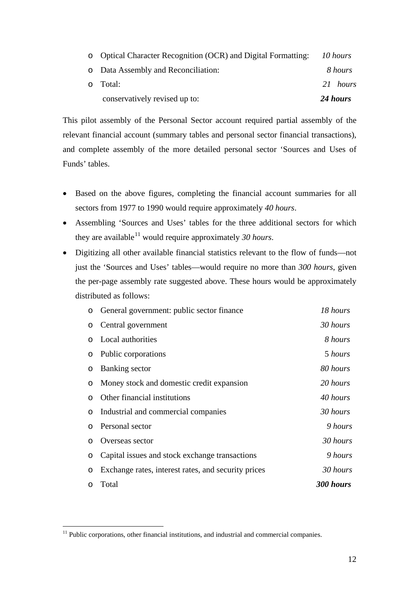| conservatively revised up to:                                 | 24 hours |
|---------------------------------------------------------------|----------|
| o Total:                                                      | 21 hours |
| o Data Assembly and Reconciliation:                           | 8 hours  |
| o Optical Character Recognition (OCR) and Digital Formatting: | 10 hours |

This pilot assembly of the Personal Sector account required partial assembly of the relevant financial account (summary tables and personal sector financial transactions), and complete assembly of the more detailed personal sector 'Sources and Uses of Funds' tables.

- Based on the above figures, completing the financial account summaries for all sectors from 1977 to 1990 would require approximately *40 hours*.
- Assembling 'Sources and Uses' tables for the three additional sectors for which they are available<sup>[11](#page-14-0)</sup> would require approximately 30 *hours*.
- Digitizing all other available financial statistics relevant to the flow of funds—not just the 'Sources and Uses' tables—would require no more than *300 hours*, given the per-page assembly rate suggested above. These hours would be approximately distributed as follows:

| O       | General government: public sector finance           | 18 hours  |
|---------|-----------------------------------------------------|-----------|
| O       | Central government                                  | 30 hours  |
| $\circ$ | Local authorities                                   | 8 hours   |
| O       | Public corporations                                 | 5 hours   |
| O       | Banking sector                                      | 80 hours  |
| $\circ$ | Money stock and domestic credit expansion           | 20 hours  |
| O       | Other financial institutions                        | 40 hours  |
| $\circ$ | Industrial and commercial companies                 | 30 hours  |
| $\circ$ | Personal sector                                     | 9 hours   |
| $\circ$ | Overseas sector                                     | 30 hours  |
| O       | Capital issues and stock exchange transactions      | 9 hours   |
| $\circ$ | Exchange rates, interest rates, and security prices | 30 hours  |
| $\circ$ | Total                                               | 300 hours |

<span id="page-14-0"></span> $11$  Public corporations, other financial institutions, and industrial and commercial companies.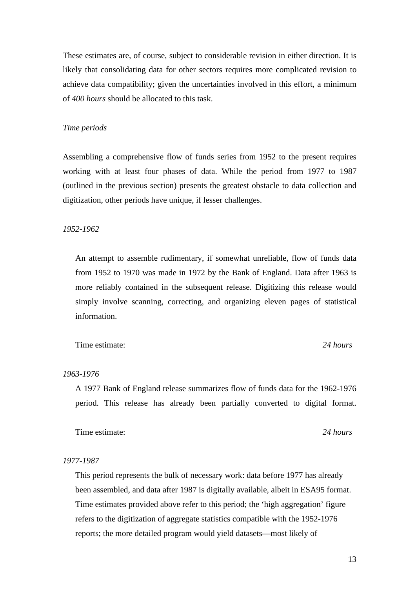These estimates are, of course, subject to considerable revision in either direction. It is likely that consolidating data for other sectors requires more complicated revision to achieve data compatibility; given the uncertainties involved in this effort, a minimum of *400 hours* should be allocated to this task.

### *Time periods*

Assembling a comprehensive flow of funds series from 1952 to the present requires working with at least four phases of data. While the period from 1977 to 1987 (outlined in the previous section) presents the greatest obstacle to data collection and digitization, other periods have unique, if lesser challenges.

#### *1952-1962*

An attempt to assemble rudimentary, if somewhat unreliable, flow of funds data from 1952 to 1970 was made in 1972 by the Bank of England. Data after 1963 is more reliably contained in the subsequent release. Digitizing this release would simply involve scanning, correcting, and organizing eleven pages of statistical information.

Time estimate: *24 hours 24 hours* 

### *1963-1976*

A 1977 Bank of England release summarizes flow of funds data for the 1962-1976 period. This release has already been partially converted to digital format.

Time estimate: *24 hours 24 hours* 

#### *1977-1987*

This period represents the bulk of necessary work: data before 1977 has already been assembled, and data after 1987 is digitally available, albeit in ESA95 format. Time estimates provided above refer to this period; the 'high aggregation' figure refers to the digitization of aggregate statistics compatible with the 1952-1976 reports; the more detailed program would yield datasets—most likely of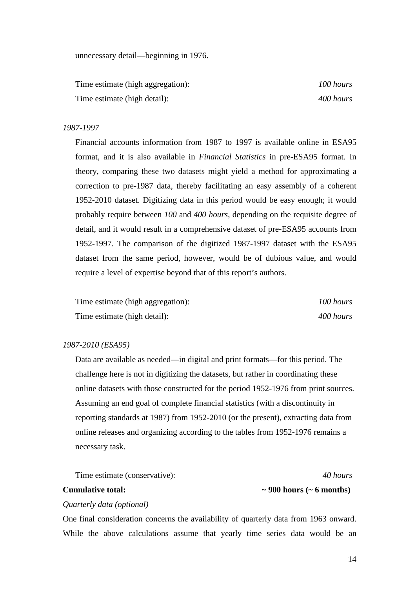unnecessary detail—beginning in 1976.

Time estimate (high aggregation): *100 hours* Time estimate (high detail): *400 hours 400 hours* 

#### *1987-1997*

Financial accounts information from 1987 to 1997 is available online in ESA95 format, and it is also available in *Financial Statistics* in pre-ESA95 format. In theory, comparing these two datasets might yield a method for approximating a correction to pre-1987 data, thereby facilitating an easy assembly of a coherent 1952-2010 dataset. Digitizing data in this period would be easy enough; it would probably require between *100* and *400 hours*, depending on the requisite degree of detail, and it would result in a comprehensive dataset of pre-ESA95 accounts from 1952-1997. The comparison of the digitized 1987-1997 dataset with the ESA95 dataset from the same period, however, would be of dubious value, and would require a level of expertise beyond that of this report's authors.

| Time estimate (high aggregation): | 100 hours |
|-----------------------------------|-----------|
| Time estimate (high detail):      | 400 hours |

#### *1987-2010 (ESA95)*

Data are available as needed—in digital and print formats—for this period. The challenge here is not in digitizing the datasets, but rather in coordinating these online datasets with those constructed for the period 1952-1976 from print sources. Assuming an end goal of complete financial statistics (with a discontinuity in reporting standards at 1987) from 1952-2010 (or the present), extracting data from online releases and organizing according to the tables from 1952-1976 remains a necessary task.

Time estimate (conservative): *40 hours*

# **Cumulative total: ~ 900 hours (~ 6 months)**

#### *Quarterly data (optional)*

One final consideration concerns the availability of quarterly data from 1963 onward. While the above calculations assume that yearly time series data would be an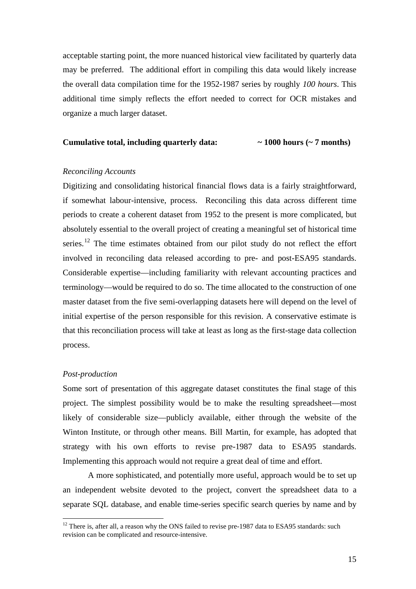acceptable starting point, the more nuanced historical view facilitated by quarterly data may be preferred. The additional effort in compiling this data would likely increase the overall data compilation time for the 1952-1987 series by roughly *100 hours*. This additional time simply reflects the effort needed to correct for OCR mistakes and organize a much larger dataset.

### **Cumulative total, including quarterly data: ~ 1000 hours (~ 7 months)**

#### *Reconciling Accounts*

Digitizing and consolidating historical financial flows data is a fairly straightforward, if somewhat labour-intensive, process. Reconciling this data across different time periods to create a coherent dataset from 1952 to the present is more complicated, but absolutely essential to the overall project of creating a meaningful set of historical time series.<sup>[12](#page-17-0)</sup> The time estimates obtained from our pilot study do not reflect the effort involved in reconciling data released according to pre- and post-ESA95 standards. Considerable expertise—including familiarity with relevant accounting practices and terminology—would be required to do so. The time allocated to the construction of one master dataset from the five semi-overlapping datasets here will depend on the level of initial expertise of the person responsible for this revision. A conservative estimate is that this reconciliation process will take at least as long as the first-stage data collection process.

#### *Post-production*

Some sort of presentation of this aggregate dataset constitutes the final stage of this project. The simplest possibility would be to make the resulting spreadsheet—most likely of considerable size—publicly available, either through the website of the Winton Institute, or through other means. Bill Martin, for example, has adopted that strategy with his own efforts to revise pre-1987 data to ESA95 standards. Implementing this approach would not require a great deal of time and effort.

A more sophisticated, and potentially more useful, approach would be to set up an independent website devoted to the project, convert the spreadsheet data to a separate SQL database, and enable time-series specific search queries by name and by

<span id="page-17-0"></span> $12$  There is, after all, a reason why the ONS failed to revise pre-1987 data to ESA95 standards: such revision can be complicated and resource-intensive.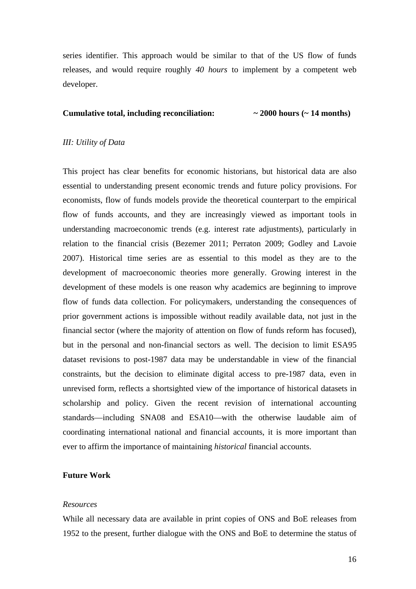series identifier. This approach would be similar to that of the US flow of funds releases, and would require roughly *40 hours* to implement by a competent web developer.

### **Cumulative total, including reconciliation: ~ 2000 hours (~ 14 months)**

#### *III: Utility of Data*

This project has clear benefits for economic historians, but historical data are also essential to understanding present economic trends and future policy provisions. For economists, flow of funds models provide the theoretical counterpart to the empirical flow of funds accounts, and they are increasingly viewed as important tools in understanding macroeconomic trends (e.g. interest rate adjustments), particularly in relation to the financial crisis (Bezemer 2011; Perraton 2009; Godley and Lavoie 2007). Historical time series are as essential to this model as they are to the development of macroeconomic theories more generally. Growing interest in the development of these models is one reason why academics are beginning to improve flow of funds data collection. For policymakers, understanding the consequences of prior government actions is impossible without readily available data, not just in the financial sector (where the majority of attention on flow of funds reform has focused), but in the personal and non-financial sectors as well. The decision to limit ESA95 dataset revisions to post-1987 data may be understandable in view of the financial constraints, but the decision to eliminate digital access to pre-1987 data, even in unrevised form, reflects a shortsighted view of the importance of historical datasets in scholarship and policy. Given the recent revision of international accounting standards—including SNA08 and ESA10—with the otherwise laudable aim of coordinating international national and financial accounts, it is more important than ever to affirm the importance of maintaining *historical* financial accounts.

#### **Future Work**

#### *Resources*

While all necessary data are available in print copies of ONS and BoE releases from 1952 to the present, further dialogue with the ONS and BoE to determine the status of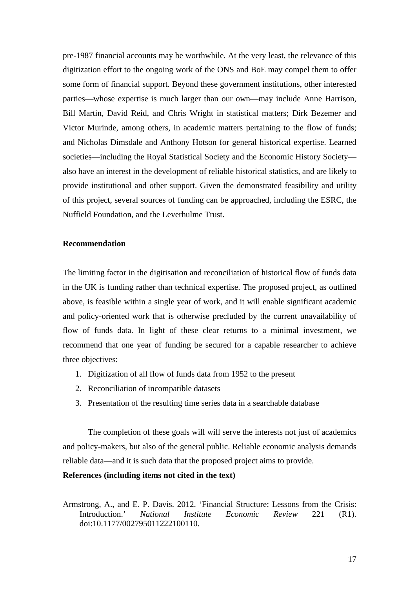pre-1987 financial accounts may be worthwhile. At the very least, the relevance of this digitization effort to the ongoing work of the ONS and BoE may compel them to offer some form of financial support. Beyond these government institutions, other interested parties—whose expertise is much larger than our own—may include Anne Harrison, Bill Martin, David Reid, and Chris Wright in statistical matters; Dirk Bezemer and Victor Murinde, among others, in academic matters pertaining to the flow of funds; and Nicholas Dimsdale and Anthony Hotson for general historical expertise. Learned societies—including the Royal Statistical Society and the Economic History Society also have an interest in the development of reliable historical statistics, and are likely to provide institutional and other support. Given the demonstrated feasibility and utility of this project, several sources of funding can be approached, including the ESRC, the Nuffield Foundation, and the Leverhulme Trust.

#### **Recommendation**

The limiting factor in the digitisation and reconciliation of historical flow of funds data in the UK is funding rather than technical expertise. The proposed project, as outlined above, is feasible within a single year of work, and it will enable significant academic and policy-oriented work that is otherwise precluded by the current unavailability of flow of funds data. In light of these clear returns to a minimal investment, we recommend that one year of funding be secured for a capable researcher to achieve three objectives:

- 1. Digitization of all flow of funds data from 1952 to the present
- 2. Reconciliation of incompatible datasets
- 3. Presentation of the resulting time series data in a searchable database

The completion of these goals will will serve the interests not just of academics and policy-makers, but also of the general public. Reliable economic analysis demands reliable data—and it is such data that the proposed project aims to provide.

#### **References (including items not cited in the text)**

Armstrong, A., and E. P. Davis. 2012. 'Financial Structure: Lessons from the Crisis: Introduction.' *National Institute Economic Review* 221 (R1). doi:10.1177/002795011222100110.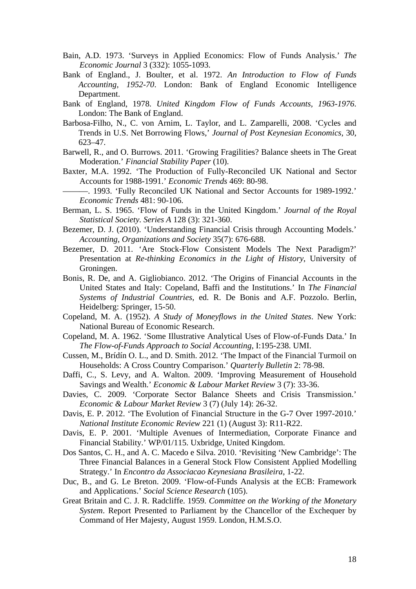- Bain, A.D. 1973. 'Surveys in Applied Economics: Flow of Funds Analysis.' *The Economic Journal* 3 (332): 1055-1093.
- Bank of England., J. Boulter, et al. 1972. *An Introduction to Flow of Funds Accounting, 1952-70*. London: Bank of England Economic Intelligence Department.
- Bank of England, 1978. *United Kingdom Flow of Funds Accounts, 1963-1976*. London: The Bank of England.
- Barbosa-Filho, N., C. von Arnim, L. Taylor, and L. Zamparelli, 2008. 'Cycles and Trends in U.S. Net Borrowing Flows,' *Journal of Post Keynesian Economics*, 30, 623–47.
- Barwell, R., and O. Burrows. 2011. 'Growing Fragilities? Balance sheets in The Great Moderation.' *Financial Stability Paper* (10).
- Baxter, M.A. 1992. 'The Production of Fully-Reconciled UK National and Sector Accounts for 1988-1991.' *Economic Trends* 469: 80-98.
	- ———. 1993. 'Fully Reconciled UK National and Sector Accounts for 1989-1992.' *Economic Trends* 481: 90-106.
- Berman, L. S. 1965. 'Flow of Funds in the United Kingdom.' *Journal of the Royal Statistical Society. Series A* 128 (3): 321-360.
- Bezemer, D. J. (2010). 'Understanding Financial Crisis through Accounting Models.' *Accounting, Organizations and Society* 35(7): 676-688.
- Bezemer, D. 2011. 'Are Stock-Flow Consistent Models The Next Paradigm?' Presentation at *Re-thinking Economics in the Light of History*, University of Groningen.
- Bonis, R. De, and A. Gigliobianco. 2012. 'The Origins of Financial Accounts in the United States and Italy: Copeland, Baffi and the Institutions.' In *The Financial Systems of Industrial Countries*, ed. R. De Bonis and A.F. Pozzolo. Berlin, Heidelberg: Springer, 15-50.
- Copeland, M. A. (1952). *A Study of Moneyflows in the United States*. New York: National Bureau of Economic Research.
- Copeland, M. A. 1962. 'Some Illustrative Analytical Uses of Flow-of-Funds Data.' In *The Flow-of-Funds Approach to Social Accounting*, I:195-238. UMI.
- Cussen, M., Brídín O. L., and D. Smith. 2012. 'The Impact of the Financial Turmoil on Households: A Cross Country Comparison.' *Quarterly Bulletin* 2: 78-98.
- Daffi, C., S. Levy, and A. Walton. 2009. 'Improving Measurement of Household Savings and Wealth.' *Economic & Labour Market Review* 3 (7): 33-36.
- Davies, C. 2009. 'Corporate Sector Balance Sheets and Crisis Transmission.' *Economic & Labour Market Review* 3 (7) (July 14): 26-32.
- Davis, E. P. 2012. 'The Evolution of Financial Structure in the G-7 Over 1997-2010.' *National Institute Economic Review* 221 (1) (August 3): R11-R22.
- Davis, E. P. 2001. 'Multiple Avenues of Intermediation, Corporate Finance and Financial Stability.' WP/01/115. Uxbridge, United Kingdom.
- Dos Santos, C. H., and A. C. Macedo e Silva. 2010. 'Revisiting 'New Cambridge': The Three Financial Balances in a General Stock Flow Consistent Applied Modelling Strategy.' In *Encontro da Associacao Keynesiana Brasileira*, 1-22.
- Duc, B., and G. Le Breton. 2009. 'Flow-of-Funds Analysis at the ECB: Framework and Applications.' *Social Science Research* (105).
- Great Britain and C. J. R. Radcliffe. 1959. *Committee on the Working of the Monetary System*. Report Presented to Parliament by the Chancellor of the Exchequer by Command of Her Majesty, August 1959. London, H.M.S.O.